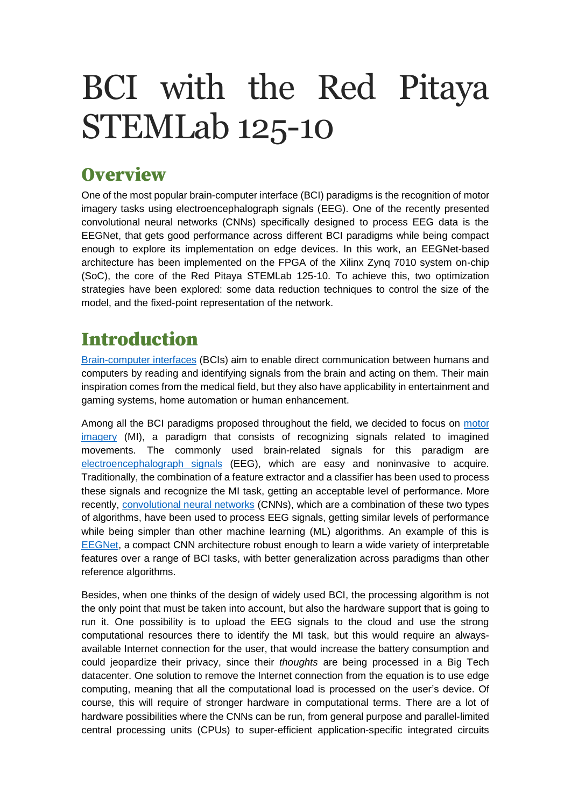# BCI with the Red Pitaya STEMLab 125-10

### **Overview**

One of the most popular brain-computer interface (BCI) paradigms is the recognition of motor imagery tasks using electroencephalograph signals (EEG). One of the recently presented convolutional neural networks (CNNs) specifically designed to process EEG data is the EEGNet, that gets good performance across different BCI paradigms while being compact enough to explore its implementation on edge devices. In this work, an EEGNet-based architecture has been implemented on the FPGA of the Xilinx Zynq 7010 system on-chip (SoC), the core of the Red Pitaya STEMLab 125-10. To achieve this, two optimization strategies have been explored: some data reduction techniques to control the size of the model, and the fixed-point representation of the network.

# Introduction

[Brain-computer interfaces](https://en.wikipedia.org/wiki/Brain%E2%80%93computer_interface) (BCIs) aim to enable direct communication between humans and computers by reading and identifying signals from the brain and acting on them. Their main inspiration comes from the medical field, but they also have applicability in entertainment and gaming systems, home automation or human enhancement.

Among all the BCI paradigms proposed throughout the field, we decided to focus on motor [imagery](https://en.wikipedia.org/wiki/Motor_imagery) (MI), a paradigm that consists of recognizing signals related to imagined movements. The commonly used brain-related signals for this paradigm are [electroencephalograph signals](https://en.wikipedia.org/wiki/Electroencephalography) (EEG), which are easy and noninvasive to acquire. Traditionally, the combination of a feature extractor and a classifier has been used to process these signals and recognize the MI task, getting an acceptable level of performance. More recently, [convolutional neural networks](https://en.wikipedia.org/wiki/Convolutional_neural_network) (CNNs), which are a combination of these two types of algorithms, have been used to process EEG signals, getting similar levels of performance while being simpler than other machine learning (ML) algorithms. An example of this is [EEGNet,](https://arxiv.org/abs/1611.08024) a compact CNN architecture robust enough to learn a wide variety of interpretable features over a range of BCI tasks, with better generalization across paradigms than other reference algorithms.

Besides, when one thinks of the design of widely used BCI, the processing algorithm is not the only point that must be taken into account, but also the hardware support that is going to run it. One possibility is to upload the EEG signals to the cloud and use the strong computational resources there to identify the MI task, but this would require an alwaysavailable Internet connection for the user, that would increase the battery consumption and could jeopardize their privacy, since their *thoughts* are being processed in a Big Tech datacenter. One solution to remove the Internet connection from the equation is to use edge computing, meaning that all the computational load is processed on the user's device. Of course, this will require of stronger hardware in computational terms. There are a lot of hardware possibilities where the CNNs can be run, from general purpose and parallel-limited central processing units (CPUs) to super-efficient application-specific integrated circuits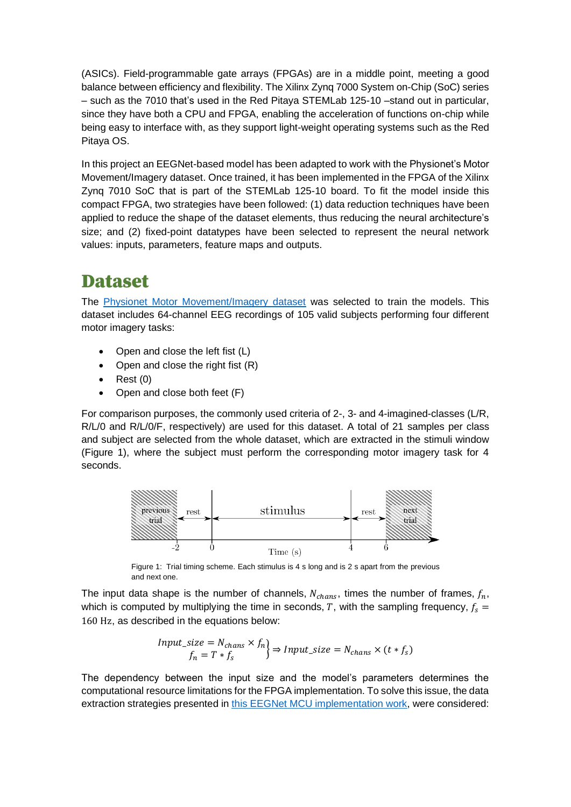(ASICs). Field-programmable gate arrays (FPGAs) are in a middle point, meeting a good balance between efficiency and flexibility. The Xilinx Zynq 7000 System on-Chip (SoC) series – such as the 7010 that's used in the Red Pitaya STEMLab 125-10 –stand out in particular, since they have both a CPU and FPGA, enabling the acceleration of functions on-chip while being easy to interface with, as they support light-weight operating systems such as the Red Pitaya OS.

In this project an EEGNet-based model has been adapted to work with the Physionet's Motor Movement/Imagery dataset. Once trained, it has been implemented in the FPGA of the Xilinx Zynq 7010 SoC that is part of the STEMLab 125-10 board. To fit the model inside this compact FPGA, two strategies have been followed: (1) data reduction techniques have been applied to reduce the shape of the dataset elements, thus reducing the neural architecture's size; and (2) fixed-point datatypes have been selected to represent the neural network values: inputs, parameters, feature maps and outputs.

#### Dataset

The [Physionet Motor Movement/Imagery dataset](https://physionet.org/content/eegmmidb/1.0.0/) was selected to train the models. This dataset includes 64-channel EEG recordings of 105 valid subjects performing four different motor imagery tasks:

- Open and close the left fist (L)
- Open and close the right fist (R)
- Rest (0)
- Open and close both feet (F)

For comparison purposes, the commonly used criteria of 2-, 3- and 4-imagined-classes (L/R, R/L/0 and R/L/0/F, respectively) are used for this dataset. A total of 21 samples per class and subject are selected from the whole dataset, which are extracted in the stimuli window (Figure 1), where the subject must perform the corresponding motor imagery task for 4 seconds.



Figure 1: Trial timing scheme. Each stimulus is 4 s long and is 2 s apart from the previous and next one.

The input data shape is the number of channels,  $N_{chans}$ , times the number of frames,  $f_n$ , which is computed by multiplying the time in seconds, T, with the sampling frequency,  $f_s =$ 160 Hz, as described in the equations below:

$$
\begin{aligned} Input\_size &= N_{chans} \times f_n \\ f_n &= T * f_s \end{aligned} \Rightarrow Input\_size = N_{chans} \times (t * f_s)
$$

The dependency between the input size and the model's parameters determines the computational resource limitations for the FPGA implementation. To solve this issue, the data extraction strategies presented in this [EEGNet MCU implementation work,](https://arxiv.org/abs/2004.00077) were considered: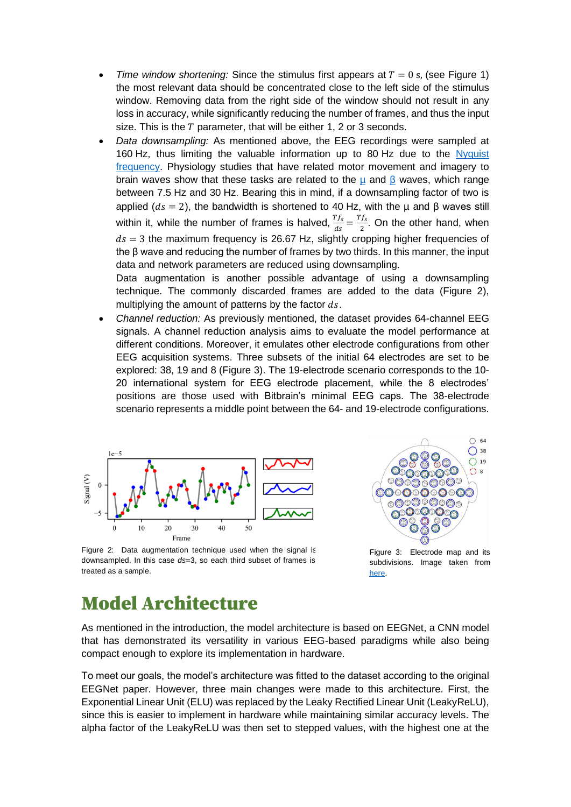- *Time window shortening:* Since the stimulus first appears at  $T = 0$  s, (see Figure 1) the most relevant data should be concentrated close to the left side of the stimulus window. Removing data from the right side of the window should not result in any loss in accuracy, while significantly reducing the number of frames, and thus the input size. This is the  $T$  parameter, that will be either 1, 2 or 3 seconds.
- *Data downsampling:* As mentioned above, the EEG recordings were sampled at 160 Hz, thus limiting the valuable information up to 80 Hz due to the [Nyquist](https://en.wikipedia.org/wiki/Nyquist_frequency#:~:text=In%20signal%20processing%2C%20the%20Nyquist,rate%20(samples%20per%20second).)  [frequency.](https://en.wikipedia.org/wiki/Nyquist_frequency#:~:text=In%20signal%20processing%2C%20the%20Nyquist,rate%20(samples%20per%20second).) Physiology studies that have related motor movement and imagery to brain waves show that these tasks are related to the  $\mu$  and  $\beta$  waves, which range between 7.5 Hz and 30 Hz. Bearing this in mind, if a downsampling factor of two is applied ( $ds = 2$ ), the bandwidth is shortened to 40 Hz, with the  $\mu$  and  $\beta$  waves still within it, while the number of frames is halved,  $\frac{Tf_s}{T}$  $\frac{Tf_s}{ds} = \frac{Tf_s}{2}$  $\frac{J_s}{2}$ . On the other hand, when  $ds = 3$  the maximum frequency is 26.67 Hz, slightly cropping higher frequencies of the β wave and reducing the number of frames by two thirds. In this manner, the input data and network parameters are reduced using downsampling.

Data augmentation is another possible advantage of using a downsampling technique. The commonly discarded frames are added to the data (Figure 2), multiplying the amount of patterns by the factor  $ds$ .

• *Channel reduction:* As previously mentioned, the dataset provides 64-channel EEG signals. A channel reduction analysis aims to evaluate the model performance at different conditions. Moreover, it emulates other electrode configurations from other EEG acquisition systems. Three subsets of the initial 64 electrodes are set to be explored: 38, 19 and 8 (Figure 3). The 19-electrode scenario corresponds to the 10- 20 international system for EEG electrode placement, while the 8 electrodes' positions are those used with Bitbrain's minimal EEG caps. The 38-electrode scenario represents a middle point between the 64- and 19-electrode configurations.



 $\circ$  64  $\bigcap$  38  $\bigcirc$  19  $\cap$  a

Figure 2: Data augmentation technique used when the signal is downsampled. In this case *ds*=3, so each third subset of frames is treated as a sample.

Figure 3: Electrode map and its subdivisions. Image taken from [here.](https://arxiv.org/pdf/2004.00077.pdf)

### Model Architecture

As mentioned in the introduction, the model architecture is based on EEGNet, a CNN model that has demonstrated its versatility in various EEG-based paradigms while also being compact enough to explore its implementation in hardware.

To meet our goals, the model's architecture was fitted to the dataset according to the original EEGNet paper. However, three main changes were made to this architecture. First, the Exponential Linear Unit (ELU) was replaced by the Leaky Rectified Linear Unit (LeakyReLU), since this is easier to implement in hardware while maintaining similar accuracy levels. The alpha factor of the LeakyReLU was then set to stepped values, with the highest one at the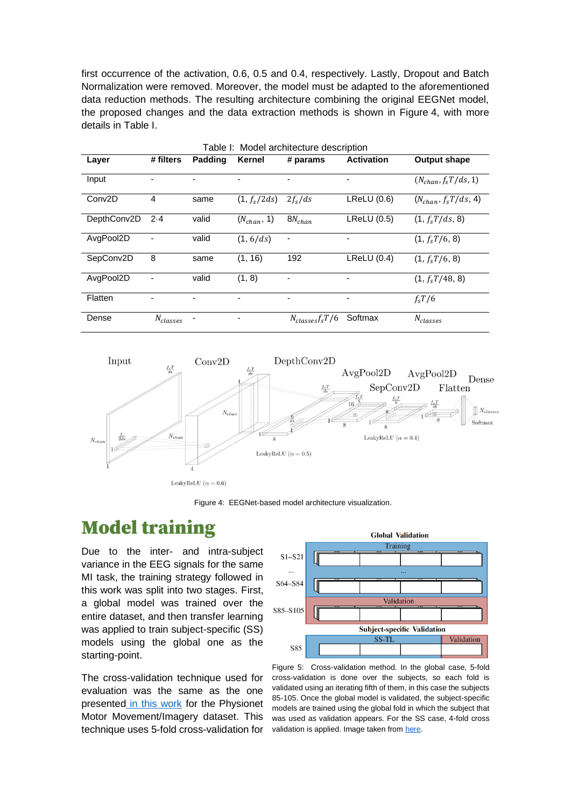first occurrence of the activation, 0.6, 0.5 and 0.4, respectively. Lastly, Dropout and Batch Normalization were removed. Moreover, the model must be adapted to the aforementioned data reduction methods. The resulting architecture combining the original EEGNet model, the proposed changes and the data extraction methods is shown in Figure 4, with more details in Table I.

| Table I: Model architecture description |               |         |                 |                       |                   |                          |
|-----------------------------------------|---------------|---------|-----------------|-----------------------|-------------------|--------------------------|
| Layer                                   | # filters     | Padding | Kernel          | # params              | <b>Activation</b> | <b>Output shape</b>      |
| Input                                   |               |         |                 |                       |                   | $(N_{chan}, f_sT/ds, 1)$ |
| Conv <sub>2</sub> D                     | 4             | same    | $(1, f_s/2ds)$  | $2f_s/ds$             | LReLU(0.6)        | $(N_{chan}, f_sT/ds, 4)$ |
| DepthConv2D                             | $2-4$         | valid   | $(N_{chan}, 1)$ | $8N_{chan}$           | LReLU(0.5)        | $(1, f_sT/ds, 8)$        |
| AvgPool2D                               |               | valid   | (1, 6/ds)       | ٠                     |                   | $(1, f_s T/6, 8)$        |
| SepConv2D                               | 8             | same    | (1, 16)         | 192                   | LReLU(0.4)        | $(1, f_sT/6, 8)$         |
| AvgPool2D                               |               | valid   | (1, 8)          |                       |                   | $(1, f_s T/48, 8)$       |
| Flatten                                 |               |         |                 |                       |                   | $f_s T/6$                |
| Dense                                   | $N_{classes}$ |         |                 | $N_{classes} f_s T/6$ | Softmax           | $N_{classes}$            |



Figure 4: EEGNet-based model architecture visualization.

#### Model training

Due to the inter- and intra-subject variance in the EEG signals for the same MI task, the training strategy followed in this work was split into two stages. First, a global model was trained over the entire dataset, and then transfer learning was applied to train subject-specific (SS) models using the global one as the starting-point.

The cross-validation technique used for evaluation was the same as the one presented [in this work](https://backend.orbit.dtu.dk/ws/portalfiles/portal/152316980/1_s2.0_S0957417418305359_main.pdf) for the Physionet Motor Movement/Imagery dataset. This technique uses 5-fold cross-validation for



Figure 5: Cross-validation method. In the global case, 5-fold cross-validation is done over the subjects, so each fold is validated using an iterating fifth of them, in this case the subjects 85-105. Once the global model is validated, the subject-specific models are trained using the global fold in which the subject that was used as validation appears. For the SS case, 4-fold cross validation is applied. Image taken from [here.](https://arxiv.org/abs/2004.00077)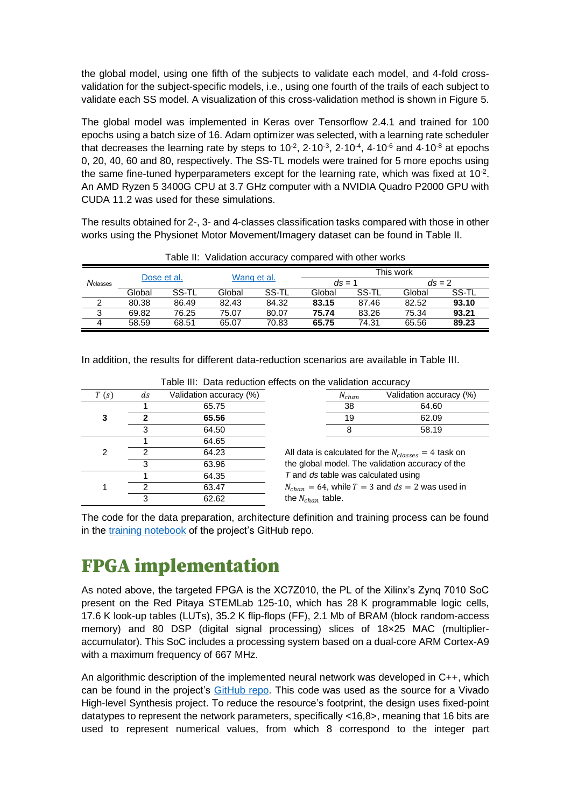the global model, using one fifth of the subjects to validate each model, and 4-fold crossvalidation for the subject-specific models, i.e., using one fourth of the trails of each subject to validate each SS model. A visualization of this cross-validation method is shown in Figure 5.

The global model was implemented in Keras over Tensorflow 2.4.1 and trained for 100 epochs using a batch size of 16. Adam optimizer was selected, with a learning rate scheduler that decreases the learning rate by steps to 10 $2$ , 2 $\cdot$ 10 $\cdot$ 3, 2 $\cdot$ 10 $\cdot$ 4, 4 $\cdot$ 10 $\cdot$ 6 and 4 $\cdot$ 10 $\cdot$ 8 at epochs 0, 20, 40, 60 and 80, respectively. The SS-TL models were trained for 5 more epochs using the same fine-tuned hyperparameters except for the learning rate, which was fixed at 10<sup>-2</sup>. An AMD Ryzen 5 3400G CPU at 3.7 GHz computer with a NVIDIA Quadro P2000 GPU with CUDA 11.2 was used for these simulations.

The results obtained for 2-, 3- and 4-classes classification tasks compared with those in other works using the Physionet Motor Movement/Imagery dataset can be found in Table II.

|                   |        |             |             |       | rable in validation accuracy compared with other works |       |           |          |
|-------------------|--------|-------------|-------------|-------|--------------------------------------------------------|-------|-----------|----------|
|                   |        | Dose et al. | Wang et al. |       |                                                        |       | This work |          |
| $N_{\rm classes}$ |        |             |             |       | $ds = 1$                                               |       |           | $ds = 2$ |
|                   | Global | SS-TL       | Global      | SS-TL | Global                                                 | SS-TL | Global    | SS-TL    |
|                   | 80.38  | 86.49       | 82.43       | 84.32 | 83.15                                                  | 87.46 | 82.52     | 93.10    |
| 3                 | 69.82  | 76.25       | 75.07       | 80.07 | 75.74                                                  | 83.26 | 75.34     | 93.21    |
|                   | 58.59  | 68.51       | 65.07       | 70.83 | 65.75                                                  | 74.31 | 65.56     | 89.23    |

Table II: Validation accuracy compared with other works

In addition, the results for different data-reduction scenarios are available in Table III.

| T(s) | ds | Validation accuracy (%) | $N_{chan}$                          | Validation accuracy (%)                                  |
|------|----|-------------------------|-------------------------------------|----------------------------------------------------------|
|      |    | 65.75                   | 38                                  | 64.60                                                    |
| 3    |    | 65.56                   | 19                                  | 62.09                                                    |
|      |    | 64.50                   |                                     | 58.19                                                    |
|      |    | 64.65                   |                                     |                                                          |
| 2    |    | 64.23                   |                                     | All data is calculated for the $N_{classes} = 4$ task on |
|      | 3  | 63.96                   |                                     | the global model. The validation accuracy of the         |
|      |    | 64.35                   | T and ds table was calculated using |                                                          |
|      | ົ  | 63.47                   |                                     | $N_{chan} = 64$ , while $T = 3$ and $ds = 2$ was used in |
|      |    | 62.62                   | the $N_{chan}$ table.               |                                                          |

Table III: Data reduction effects on the validation accuracy

| $N_{chan}$ | Validation accuracy (%) |
|------------|-------------------------|
| 38         | 64.60                   |
| 19         | 62.09                   |
|            | 58.19                   |

The code for the data preparation, architecture definition and training process can be found in the [training notebook](https://github.com/eneriz-daniel/MIBCI-QCNNs/blob/master/training.ipynb) of the project's GitHub repo.

### FPGA implementation

As noted above, the targeted FPGA is the XC7Z010, the PL of the Xilinx's Zynq 7010 SoC present on the Red Pitaya STEMLab 125-10, which has 28 K programmable logic cells, 17.6 K look-up tables (LUTs), 35.2 K flip-flops (FF), 2.1 Mb of BRAM (block random-access memory) and 80 DSP (digital signal processing) slices of 18×25 MAC (multiplieraccumulator). This SoC includes a processing system based on a dual-core ARM Cortex-A9 with a maximum frequency of 667 MHz.

An algorithmic description of the implemented neural network was developed in C++, which can be found in the project's [GitHub repo.](https://github.com/eneriz-daniel/MIBCI-QCNNs/blob/master/MIBCI-QCNN.cpp) This code was used as the source for a Vivado High-level Synthesis project. To reduce the resource's footprint, the design uses fixed-point datatypes to represent the network parameters, specifically <16,8>, meaning that 16 bits are used to represent numerical values, from which 8 correspond to the integer part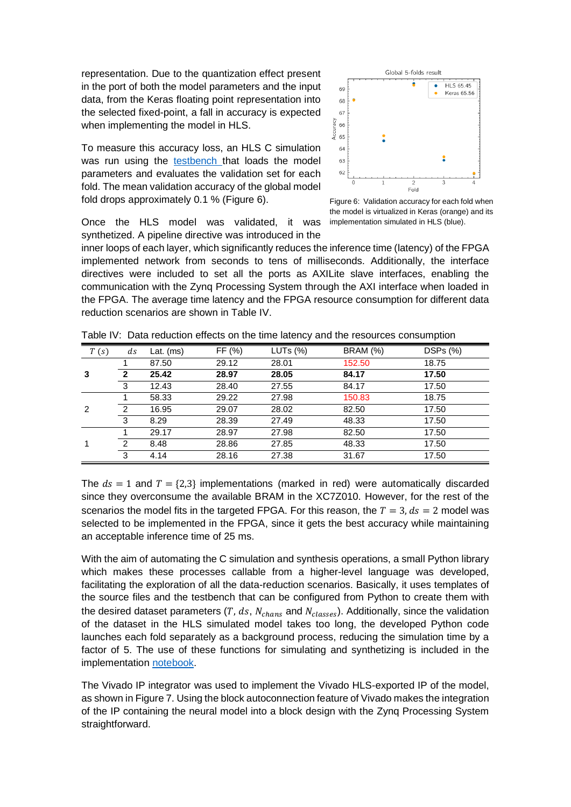representation. Due to the quantization effect present in the port of both the model parameters and the input data, from the Keras floating point representation into the selected fixed-point, a fall in accuracy is expected when implementing the model in HLS.

To measure this accuracy loss, an HLS C simulation was run using the [testbench t](https://github.com/eneriz-daniel/MIBCI-QCNNs/blob/master/MIBCI-QCNN-tb.cpp)hat loads the model parameters and evaluates the validation set for each fold. The mean validation accuracy of the global model fold drops approximately 0.1 % (Figure 6).

Once the HLS model was validated, it was synthetized. A pipeline directive was introduced in the



Figure 6: Validation accuracy for each fold when the model is virtualized in Keras (orange) and its implementation simulated in HLS (blue).

inner loops of each layer, which significantly reduces the inference time (latency) of the FPGA implemented network from seconds to tens of milliseconds. Additionally, the interface directives were included to set all the ports as AXILite slave interfaces, enabling the communication with the Zynq Processing System through the AXI interface when loaded in the FPGA. The average time latency and the FPGA resource consumption for different data reduction scenarios are shown in Table IV.

| T(s) | ds             | Lat. (ms) | FF (%) | LUTs (%) | <b>BRAM (%)</b> | DSPs (%) |
|------|----------------|-----------|--------|----------|-----------------|----------|
|      |                | 87.50     | 29.12  | 28.01    | 152.50          | 18.75    |
| 3    | $\mathbf 2$    | 25.42     | 28.97  | 28.05    | 84.17           | 17.50    |
|      | 3              | 12.43     | 28.40  | 27.55    | 84.17           | 17.50    |
|      |                | 58.33     | 29.22  | 27.98    | 150.83          | 18.75    |
| 2    | $\overline{2}$ | 16.95     | 29.07  | 28.02    | 82.50           | 17.50    |
|      | 3              | 8.29      | 28.39  | 27.49    | 48.33           | 17.50    |
|      |                | 29.17     | 28.97  | 27.98    | 82.50           | 17.50    |
|      | 2              | 8.48      | 28.86  | 27.85    | 48.33           | 17.50    |
|      | 3              | 4.14      | 28.16  | 27.38    | 31.67           | 17.50    |

Table IV: Data reduction effects on the time latency and the resources consumption

The  $ds = 1$  and  $T = \{2,3\}$  implementations (marked in red) were automatically discarded since they overconsume the available BRAM in the XC7Z010. However, for the rest of the scenarios the model fits in the targeted FPGA. For this reason, the  $T = 3$ ,  $ds = 2$  model was selected to be implemented in the FPGA, since it gets the best accuracy while maintaining an acceptable inference time of 25 ms.

With the aim of automating the C simulation and synthesis operations, a small Python library which makes these processes callable from a higher-level language was developed, facilitating the exploration of all the data-reduction scenarios. Basically, it uses templates of the source files and the testbench that can be configured from Python to create them with the desired dataset parameters (T,  $ds$ ,  $N_{chans}$  and  $N_{classes}$ ). Additionally, since the validation of the dataset in the HLS simulated model takes too long, the developed Python code launches each fold separately as a background process, reducing the simulation time by a factor of 5. The use of these functions for simulating and synthetizing is included in the implementation [notebook.](https://github.com/eneriz-daniel/MIBCI-QCNNs/blob/master/implementation.ipynb)

The Vivado IP integrator was used to implement the Vivado HLS-exported IP of the model, as shown in Figure 7. Using the block autoconnection feature of Vivado makes the integration of the IP containing the neural model into a block design with the Zynq Processing System straightforward.